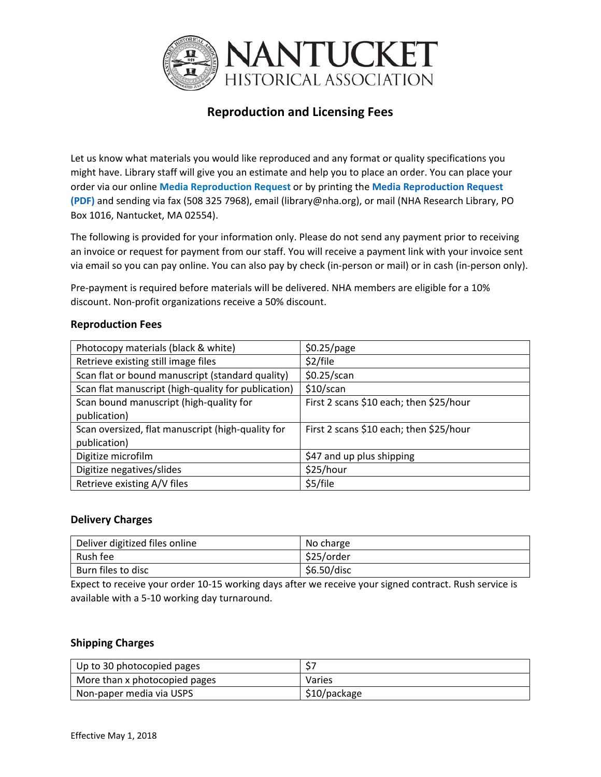

# **Reproduction and Licensing Fees**

Let us know what materials you would like reproduced and any format or quality specifications you might have. Library staff will give you an estimate and help you to place an order. You can place your order via our online **Media [Reproduction](https://nha.org/research/research-library/reproduction-services/media-reproduction-request/) Request** or by printing the **Media [Reproduction](https://nha.org/wp-content/uploads/NHA-Reproduction-Request-Form.pdf) Request (PDF)** and sending via fax (508 325 7968), email (library@nha.org), or mail (NHA Research Library, PO Box 1016, Nantucket, MA 02554).

The following is provided for your information only. Please do not send any payment prior to receiving an invoice or request for payment from our staff. You will receive a payment link with your invoice sent via email so you can pay online. You can also pay by check (in‐person or mail) or in cash (in‐person only).

Pre‐payment is required before materials will be delivered. NHA members are eligible for a 10% discount. Non‐profit organizations receive a 50% discount.

#### **Reproduction Fees**

| Photocopy materials (black & white)                               | \$0.25/page                             |
|-------------------------------------------------------------------|-----------------------------------------|
| Retrieve existing still image files                               | \$2/file                                |
| Scan flat or bound manuscript (standard quality)                  | \$0.25/scan                             |
| Scan flat manuscript (high-quality for publication)               | \$10/scan                               |
| Scan bound manuscript (high-quality for<br>publication)           | First 2 scans \$10 each; then \$25/hour |
| Scan oversized, flat manuscript (high-quality for<br>publication) | First 2 scans \$10 each; then \$25/hour |
| Digitize microfilm                                                | \$47 and up plus shipping               |
| Digitize negatives/slides                                         | \$25/hour                               |
| Retrieve existing A/V files                                       | \$5/file                                |

#### **Delivery Charges**

| Deliver digitized files online | No charge   |
|--------------------------------|-------------|
| Rush fee                       | \$25/order  |
| Burn files to disc             | \$6.50/disc |

Expect to receive your order 10‐15 working days after we receive your signed contract. Rush service is available with a 5‐10 working day turnaround.

#### **Shipping Charges**

| Up to 30 photocopied pages            |              |
|---------------------------------------|--------------|
| More than x photocopied pages         | Varies       |
| <sup>1</sup> Non-paper media via USPS | \$10/package |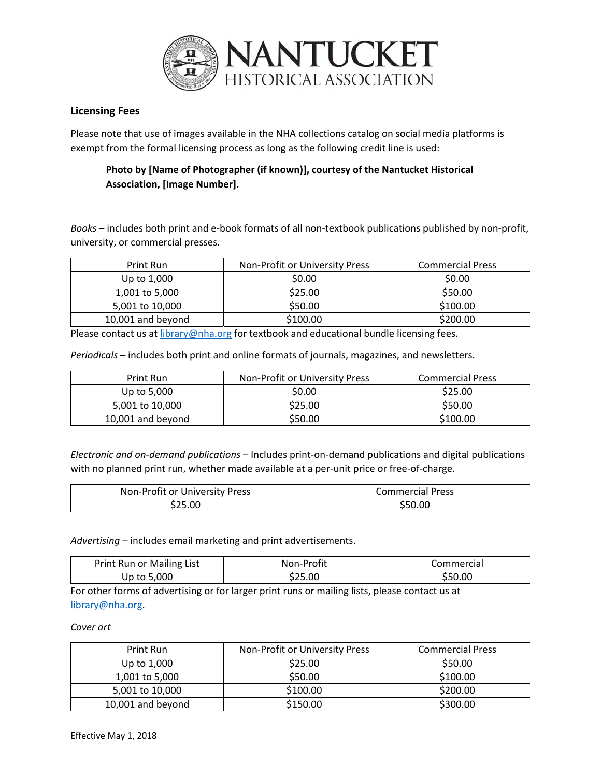

### **Licensing Fees**

Please note that use of images available in the NHA collections catalog on social media platforms is exempt from the formal licensing process as long as the following credit line is used:

## **Photo by [Name of Photographer (if known)], courtesy of the Nantucket Historical Association, [Image Number].**

*Books* – includes both print and e‐book formats of all non‐textbook publications published by non‐profit, university, or commercial presses.

| Print Run         | Non-Profit or University Press | <b>Commercial Press</b> |
|-------------------|--------------------------------|-------------------------|
| Up to 1,000       | \$0.00                         | \$0.00                  |
| 1,001 to 5,000    | \$25.00                        | \$50.00                 |
| 5,001 to 10,000   | \$50.00                        | \$100.00                |
| 10,001 and beyond | \$100.00                       | \$200.00                |

Please contact us at *library@nha.org* for textbook and educational bundle licensing fees.

*Periodicals* – includes both print and online formats of journals, magazines, and newsletters.

| Print Run         | Non-Profit or University Press | <b>Commercial Press</b> |
|-------------------|--------------------------------|-------------------------|
| Up to 5,000       | \$0.00                         | \$25.00                 |
| 5,001 to 10,000   | \$25.00                        | \$50.00                 |
| 10,001 and beyond | \$50.00                        | \$100.00                |

*Electronic and on‐demand publications* – Includes print‐on‐demand publications and digital publications with no planned print run, whether made available at a per-unit price or free-of-charge.

| Non-Profit or University Press | Commercial Press |
|--------------------------------|------------------|
| \$25.00                        | \$50.00          |

*Advertising* – includes email marketing and print advertisements.

| Print Run or Mailing List | Non-Profit | Commercial |
|---------------------------|------------|------------|
| Up to 5,000               | S25.00     | \$50.00    |

For other forms of advertising or for larger print runs or mailing lists, please contact us at library@nha.org.

#### *Cover art*

| Print Run         | Non-Profit or University Press | <b>Commercial Press</b> |
|-------------------|--------------------------------|-------------------------|
| Up to 1,000       | \$25.00                        | \$50.00                 |
| 1,001 to 5,000    | \$50.00                        | \$100.00                |
| 5,001 to 10,000   | \$100.00                       | \$200.00                |
| 10,001 and beyond | \$150.00                       | \$300.00                |